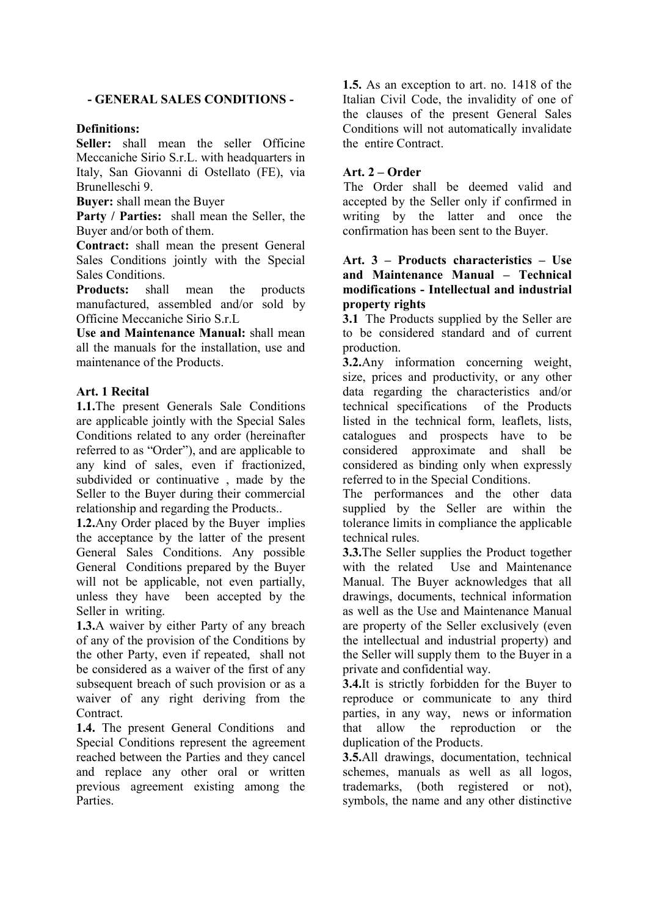### - GENERAL SALES CONDITIONS -

#### Definitions:

Seller: shall mean the seller Officine Meccaniche Sirio S.r.L. with headquarters in Italy, San Giovanni di Ostellato (FE), via Brunelleschi 9.

Buyer: shall mean the Buyer

Party / Parties: shall mean the Seller, the Buyer and/or both of them.

Contract: shall mean the present General Sales Conditions jointly with the Special Sales Conditions.

Products: shall mean the products manufactured, assembled and/or sold by Officine Meccaniche Sirio S.r.L

Use and Maintenance Manual: shall mean all the manuals for the installation, use and maintenance of the Products.

### Art. 1 Recital

1.1.The present Generals Sale Conditions are applicable jointly with the Special Sales Conditions related to any order (hereinafter referred to as "Order"), and are applicable to any kind of sales, even if fractionized, subdivided or continuative , made by the Seller to the Buyer during their commercial relationship and regarding the Products..

1.2.Any Order placed by the Buyer implies the acceptance by the latter of the present General Sales Conditions. Any possible General Conditions prepared by the Buyer will not be applicable, not even partially, unless they have been accepted by the Seller in writing.

1.3.A waiver by either Party of any breach of any of the provision of the Conditions by the other Party, even if repeated, shall not be considered as a waiver of the first of any subsequent breach of such provision or as a waiver of any right deriving from the Contract.

1.4. The present General Conditions and Special Conditions represent the agreement reached between the Parties and they cancel and replace any other oral or written previous agreement existing among the Parties.

1.5. As an exception to art. no. 1418 of the Italian Civil Code, the invalidity of one of the clauses of the present General Sales Conditions will not automatically invalidate the entire Contract.

## Art. 2 – Order

The Order shall be deemed valid and accepted by the Seller only if confirmed in writing by the latter and once the confirmation has been sent to the Buyer.

### Art. 3 – Products characteristics – Use and Maintenance Manual – Technical modifications - Intellectual and industrial property rights

3.1 The Products supplied by the Seller are to be considered standard and of current production.

3.2.Any information concerning weight, size, prices and productivity, or any other data regarding the characteristics and/or technical specifications of the Products listed in the technical form, leaflets, lists, catalogues and prospects have to be considered approximate and shall be considered as binding only when expressly referred to in the Special Conditions.

The performances and the other data supplied by the Seller are within the tolerance limits in compliance the applicable technical rules.

3.3.The Seller supplies the Product together with the related Use and Maintenance Manual. The Buyer acknowledges that all drawings, documents, technical information as well as the Use and Maintenance Manual are property of the Seller exclusively (even the intellectual and industrial property) and the Seller will supply them to the Buyer in a private and confidential way.

3.4.It is strictly forbidden for the Buyer to reproduce or communicate to any third parties, in any way, news or information that allow the reproduction or the duplication of the Products.

3.5.All drawings, documentation, technical schemes, manuals as well as all logos, trademarks, (both registered or not), symbols, the name and any other distinctive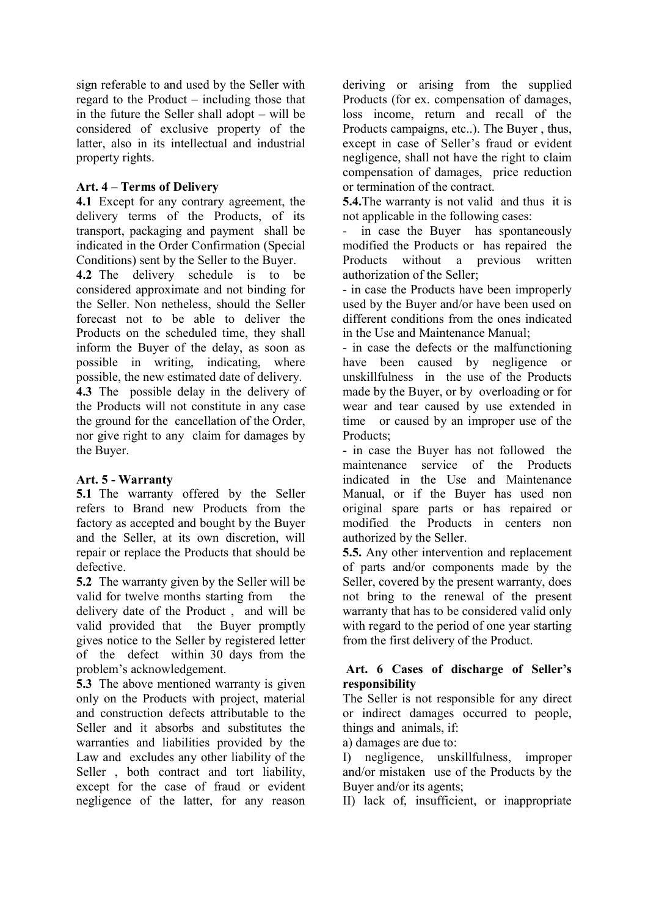sign referable to and used by the Seller with regard to the Product – including those that in the future the Seller shall adopt – will be considered of exclusive property of the latter, also in its intellectual and industrial property rights.

# Art. 4 – Terms of Delivery

4.1 Except for any contrary agreement, the delivery terms of the Products, of its transport, packaging and payment shall be indicated in the Order Confirmation (Special Conditions) sent by the Seller to the Buyer.

4.2 The delivery schedule is to be considered approximate and not binding for the Seller. Non netheless, should the Seller forecast not to be able to deliver the Products on the scheduled time, they shall inform the Buyer of the delay, as soon as possible in writing, indicating, where possible, the new estimated date of delivery. 4.3 The possible delay in the delivery of the Products will not constitute in any case the ground for the cancellation of the Order, nor give right to any claim for damages by the Buyer.

### Art. 5 - Warranty

5.1 The warranty offered by the Seller refers to Brand new Products from the factory as accepted and bought by the Buyer and the Seller, at its own discretion, will repair or replace the Products that should be defective.

5.2 The warranty given by the Seller will be valid for twelve months starting from the delivery date of the Product , and will be valid provided that the Buyer promptly gives notice to the Seller by registered letter of the defect within 30 days from the problem's acknowledgement.

5.3 The above mentioned warranty is given only on the Products with project, material and construction defects attributable to the Seller and it absorbs and substitutes the warranties and liabilities provided by the Law and excludes any other liability of the Seller , both contract and tort liability, except for the case of fraud or evident negligence of the latter, for any reason

deriving or arising from the supplied Products (for ex. compensation of damages, loss income, return and recall of the Products campaigns, etc..). The Buyer , thus, except in case of Seller's fraud or evident negligence, shall not have the right to claim compensation of damages, price reduction or termination of the contract.

5.4.The warranty is not valid and thus it is not applicable in the following cases:

in case the Buyer has spontaneously modified the Products or has repaired the Products without a previous written authorization of the Seller;

- in case the Products have been improperly used by the Buyer and/or have been used on different conditions from the ones indicated in the Use and Maintenance Manual;

- in case the defects or the malfunctioning have been caused by negligence or unskillfulness in the use of the Products made by the Buyer, or by overloading or for wear and tear caused by use extended in time or caused by an improper use of the Products;

- in case the Buyer has not followed the maintenance service of the Products indicated in the Use and Maintenance Manual, or if the Buyer has used non original spare parts or has repaired or modified the Products in centers non authorized by the Seller.

5.5. Any other intervention and replacement of parts and/or components made by the Seller, covered by the present warranty, does not bring to the renewal of the present warranty that has to be considered valid only with regard to the period of one year starting from the first delivery of the Product.

## Art. 6 Cases of discharge of Seller's responsibility

The Seller is not responsible for any direct or indirect damages occurred to people, things and animals, if:

a) damages are due to:

I) negligence, unskillfulness, improper and/or mistaken use of the Products by the Buyer and/or its agents;

II) lack of, insufficient, or inappropriate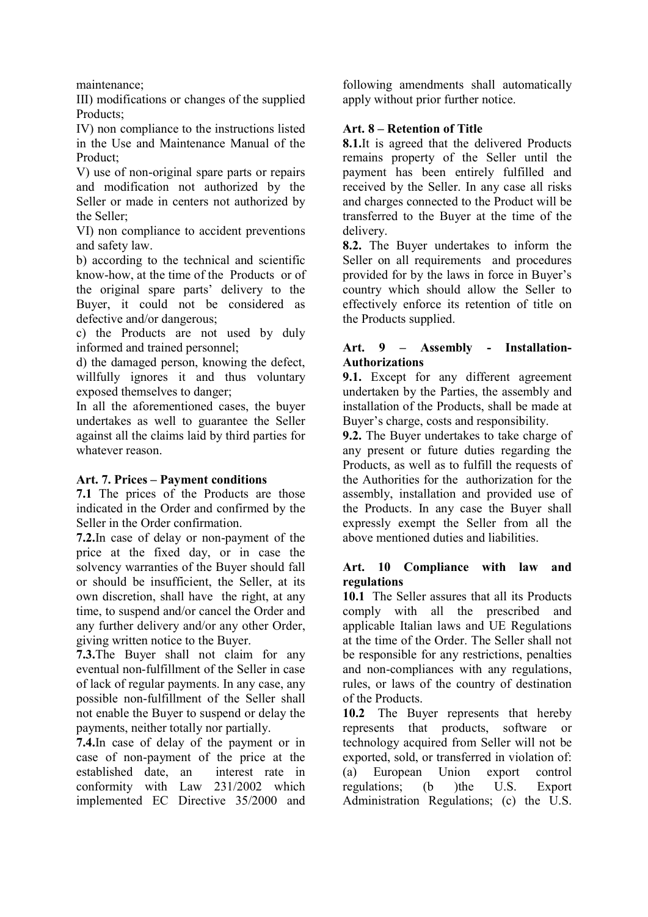maintenance;

III) modifications or changes of the supplied Products;

IV) non compliance to the instructions listed in the Use and Maintenance Manual of the Product;

V) use of non-original spare parts or repairs and modification not authorized by the Seller or made in centers not authorized by the Seller;

VI) non compliance to accident preventions and safety law.

b) according to the technical and scientific know-how, at the time of the Products or of the original spare parts' delivery to the Buyer, it could not be considered as defective and/or dangerous;

c) the Products are not used by duly informed and trained personnel;

d) the damaged person, knowing the defect, willfully ignores it and thus voluntary exposed themselves to danger;

In all the aforementioned cases, the buyer undertakes as well to guarantee the Seller against all the claims laid by third parties for whatever reason.

### Art. 7. Prices – Payment conditions

7.1 The prices of the Products are those indicated in the Order and confirmed by the Seller in the Order confirmation.

7.2.In case of delay or non-payment of the price at the fixed day, or in case the solvency warranties of the Buyer should fall or should be insufficient, the Seller, at its own discretion, shall have the right, at any time, to suspend and/or cancel the Order and any further delivery and/or any other Order, giving written notice to the Buyer.

7.3.The Buyer shall not claim for any eventual non-fulfillment of the Seller in case of lack of regular payments. In any case, any possible non-fulfillment of the Seller shall not enable the Buyer to suspend or delay the payments, neither totally nor partially.

7.4.In case of delay of the payment or in case of non-payment of the price at the established date, an interest rate in conformity with Law 231/2002 which implemented EC Directive 35/2000 and

following amendments shall automatically apply without prior further notice.

### Art. 8 – Retention of Title

8.1.It is agreed that the delivered Products remains property of the Seller until the payment has been entirely fulfilled and received by the Seller. In any case all risks and charges connected to the Product will be transferred to the Buyer at the time of the delivery.

8.2. The Buyer undertakes to inform the Seller on all requirements and procedures provided for by the laws in force in Buyer's country which should allow the Seller to effectively enforce its retention of title on the Products supplied.

### Art. 9 – Assembly - Installation-Authorizations

9.1. Except for any different agreement undertaken by the Parties, the assembly and installation of the Products, shall be made at Buyer's charge, costs and responsibility.

9.2. The Buyer undertakes to take charge of any present or future duties regarding the Products, as well as to fulfill the requests of the Authorities for the authorization for the assembly, installation and provided use of the Products. In any case the Buyer shall expressly exempt the Seller from all the above mentioned duties and liabilities.

## Art. 10 Compliance with law and regulations

10.1 The Seller assures that all its Products comply with all the prescribed and applicable Italian laws and UE Regulations at the time of the Order. The Seller shall not be responsible for any restrictions, penalties and non-compliances with any regulations, rules, or laws of the country of destination of the Products.

10.2 The Buyer represents that hereby represents that products, software or technology acquired from Seller will not be exported, sold, or transferred in violation of: (a) European Union export control regulations; (b )the U.S. Export Administration Regulations; (c) the U.S.